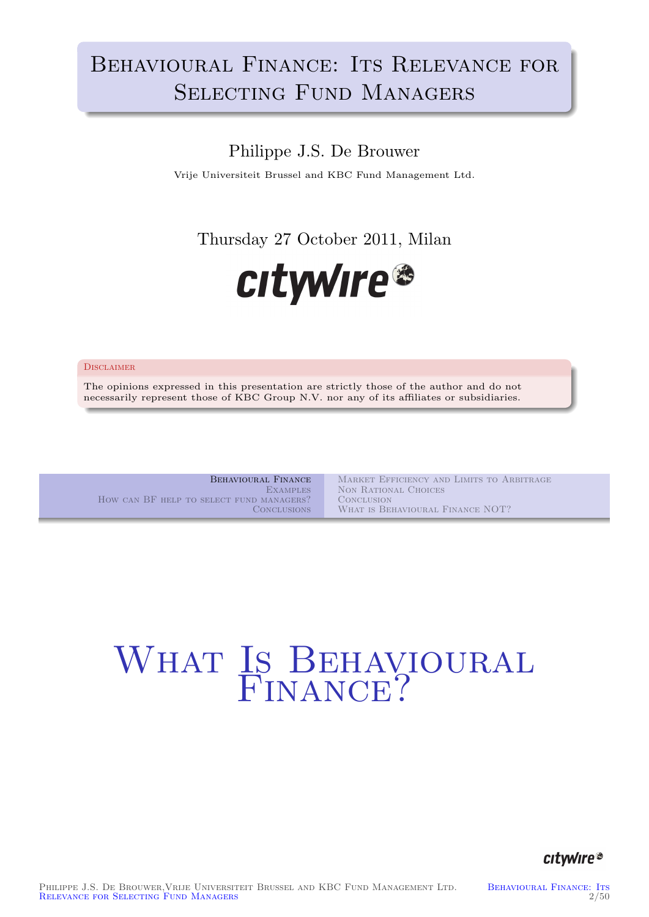# BEHAVIOURAL FINANCE: ITS RELEVANCE FOR SELECTING FUND MANAGERS

## Philippe J.S. De Brouwer

Vrije Universiteit Brussel and KBC Fund Management Ltd.

Thursday 27 October 2011, Milan



#### **DISCLAIMER**

The opinions expressed in this presentation are strictly those of the author and do not necessarily represent those of KBC Group N.V. nor any of its affiliates or subsidiaries.

Behavioural Finance **EXAMPLES** How can BF help to select fund managers? **CONCLUSIONS** 

Market Efficiency and Limits to Arbitrage Non Rational Choices **CONCLUSION** WHAT IS BEHAVIOURAL FINANCE NOT?

# <span id="page-0-0"></span>WHATIS BEHAVIOURAL ENANCE?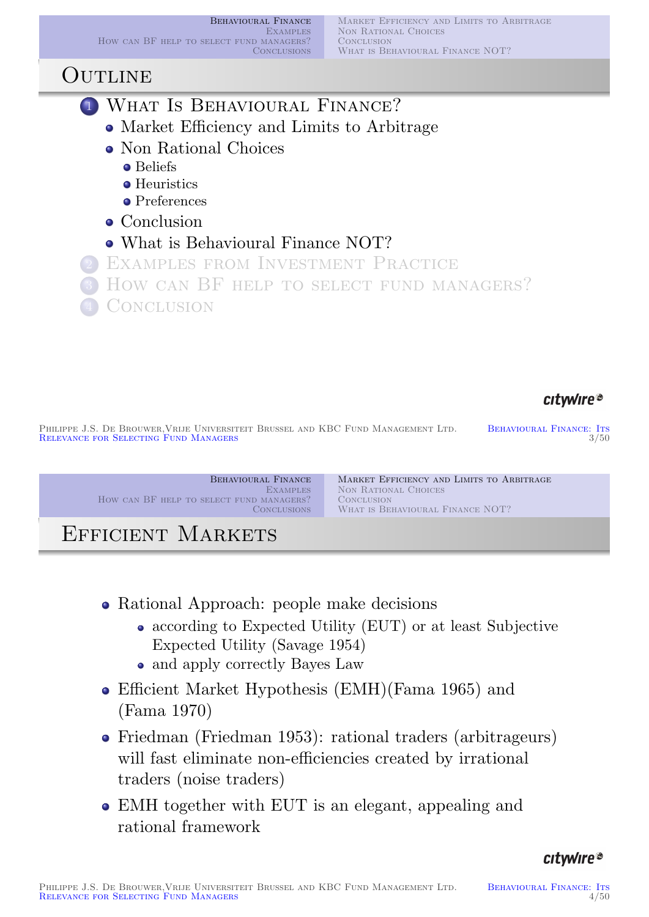Behavioural Finance **EXAMPLES** How can BF help to select fund managers? **CONCLUSIONS** 

Market Efficiency and Limits to Arbitrage NON RATIONAL CHOICES **CONCLUSION** WHAT IS BEHAVIOURAL FINANCE NOT?

## **OUTLINE**

- **1 WHAT IS BEHAVIOURAL FINANCE?** 
	- Market Efficiency and Limits to Arbitrage
	- Non Rational Choices
		- **o** Beliefs
		- **•** Heuristics
		- **•** Preferences
	- Conclusion
	- What is Behavioural Finance NOT?

<sup>2</sup> Examples from Investment Practice How can BF HELP TO SELECT FUND MANAGERS? **CONCLUSION** 

## citwire®

PHILIPPE J.S. DE BROUWER, VRIJE UNIVERSITEIT BRUSSEL AND KBC FUND MANAGEMENT LTD. BEHAVIOURAL FINANCE: ITS<br>BEHAVIOURAL FINANCE: ITS 3/50 RELEVANCE FOR SELECTING FUND MANAGERS

Behavioural Finance **EXAMPLES** How can BF help to select fund managers? **CONCLUSIONS** 

Market Efficiency and Limits to Arbitrage Non Rational Choices **CONCLUSION** WHAT IS BEHAVIOURAL FINANCE NOT?

# EFFICIENT MARKETS

- Rational Approach: people make decisions
	- [accord](#page-0-0)[ing to Expected Utility \(EUT](#page-1-0)) or at least Subjective [Expect](#page-20-0)[ed Utility \(Savage 1954\)](#page-14-0)
	- and apply correctly Bayes Law
- [Efficient](#page-0-0)[Market](#page-0-0) [Hypo](#page-1-0)thesis (EMH)(Fama 1965) and [\(Fama](#page-5-0) 1970)
- Fried[man \(Frie](#page-23-0)dman 1953): rational traders (arbitrageurs) will fast eliminate non-efficiencies created by irrational [traders \(noise tra](#page-14-0)[ders\)](#page-22-0)
- <span id="page-1-0"></span>[EMH](#page-22-1)[tog](#page-22-1)[ether with EUT is an](#page-18-0) elegant, appealing and [r](#page-20-0)ational framework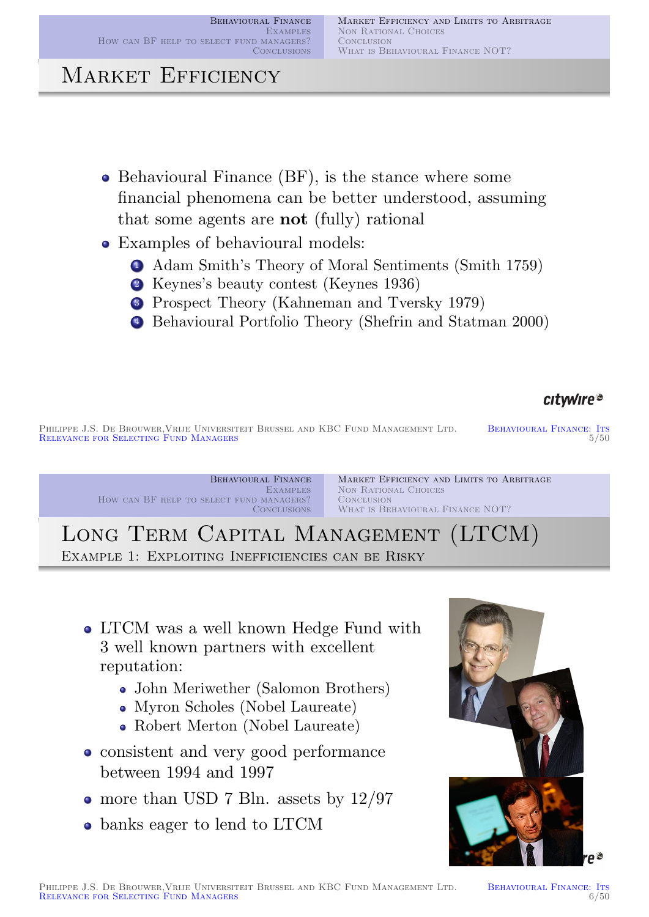# MARKET EFFICIENCY

- Behavioural Finance (BF), is the stance where some financial phenomena can be better understood, assuming that some agents are not (fully) rational
- Examples of behavioural models:
	- <sup>1</sup> Adam Smith's Theory of Moral Sentiments (Smith 1759)
	- <sup>2</sup> Keynes's beauty contest (Keynes 1936)
	- <sup>3</sup> Prospect Theory (Kahneman and Tversky 1979)
	- <sup>4</sup> Behavioural Portfolio Theory (Shefrin and Statman 2000)

## citwire®

PHILIPPE J.S. DE BROUWER, VRIJE UNIVERSITEIT BRUSSEL AND KBC FUND MANAGEMENT LTD. BEHAVIOURAL FINANCE: ITS<br>BEHAVIOURAL FINANCE: ITS 5/50 RELEVANCE FOR SELECTING FUND MANAGERS

Behavioural Finance **EXAMPLES** How can BF help to select fund managers? **CONCLUSIONS** 

Market Efficiency and Limits to Arbitrage Non Rational Choices **CONCLUSION** WHAT IS BEHAVIOURAL FINANCE NOT?

Long Term Capital Management (LTCM) EXAMPLE 1: EXPLOITING INEFFICIENCIES CAN BE RISKY

- [LTCM](#page-0-0)[was](#page-0-0)[a](#page-0-0)[well](#page-1-0)[known](#page-1-0)[Hedge](#page-1-0)[Fund](#page-1-0)[w](#page-1-0)ith [3 well known](#page-20-0) [partners with excellent](#page-14-0) reputation:
	- John Meriwether (Salomon Brothers)
	- Myron Scholes (Nobel Laureate)
	- Robert Merton (Nobel Laureate)
- consistent and very good performance between 1994 and 1997
- more than U[SD 7 Bln](#page-23-2). a[ssets by](#page-23-1) 12/97
- banks e[ager to lend](#page-23-3)[to](#page-23-3) [LTC](#page-23-3)[M](#page-23-4)

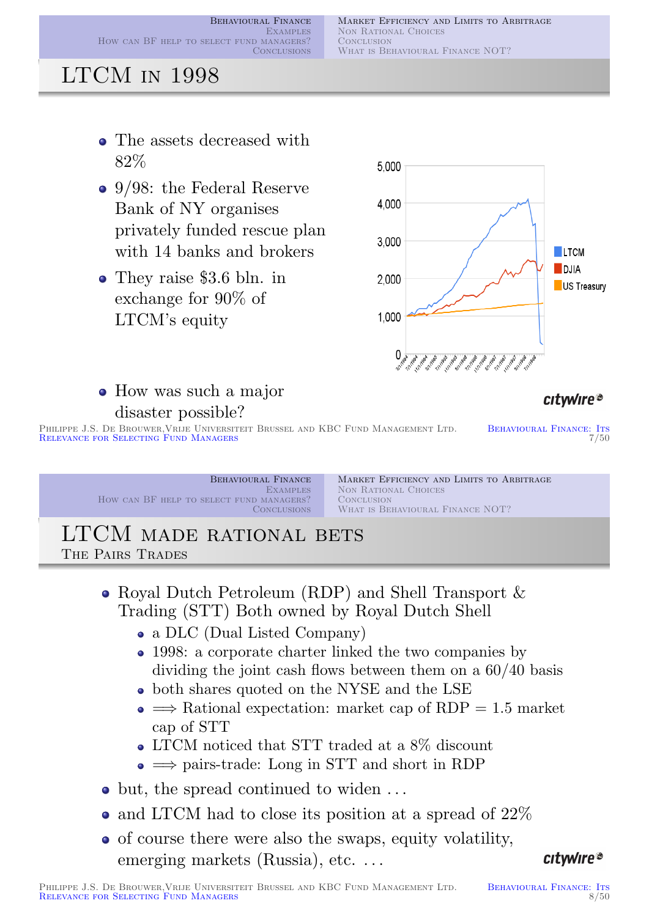Market Efficiency and Limits to Arbitrage NON RATIONAL CHOICES CONCLUSION WHAT IS BEHAVIOURAL FINANCE NOT?

# LTCM in 1998

- The assets decreased with 82%
- 9/98: the Federal Reserve Bank of NY organises privately funded rescue plan with 14 banks and brokers
- They raise \$3.6 bln. in exchange for 90% of LTCM's equity



How was such a major disaster possible?

#### citwire®

PHILIPPE J.S. DE BROUWER, VRIJE UNIVERSITEIT BRUSSEL AND KBC FUND MANAGEMENT LTD. BEHAVIOURAL FINANCE: ITS<br>RELEVANCE FOR SELECTING FUND MANAGERS RELEVANCE FOR SELECTING FUND MANAGERS

Behavioural Finance **EXAMPLES** How can BF HELP TO SELECT FUND MANAGERS? **CONCLUSIONS** 

Market Efficiency and Limits to Arbitrage NON RATIONAL CHOICES **CONCLUSION** WHAT IS BEHAVIOURAL FINANCE NOT?

#### LTCM MADE RATIONAL BETS The Pairs Trades

- Royal Dutch Petroleum (RDP) and Shell Transport & Trading (STT) Both owned by Royal Dutch Shell
	- [a DLC](#page-14-0) [\(Dual Listed Company\)](#page-5-0)
	- [1998:](#page-20-0) [a corporate charter linked the](#page-14-0) two companies by dividing the joint cash flows between them on a 60/40 basis
	- both shares quoted on the NYSE and the LSE
	- $\bullet \implies$  Rational expectation: market cap of RDP = 1.5 market cap of STT
	- LTCM noticed that STT traded at a 8% discount
	- $\bullet \implies$  pairs-trade: Long in STT and short in RDP
- but, the spread continued to widen ...
- and LTCM had to close its position at a spread of 22%
- of course there were also the swaps, equity volatility, emerging markets (Russia), etc...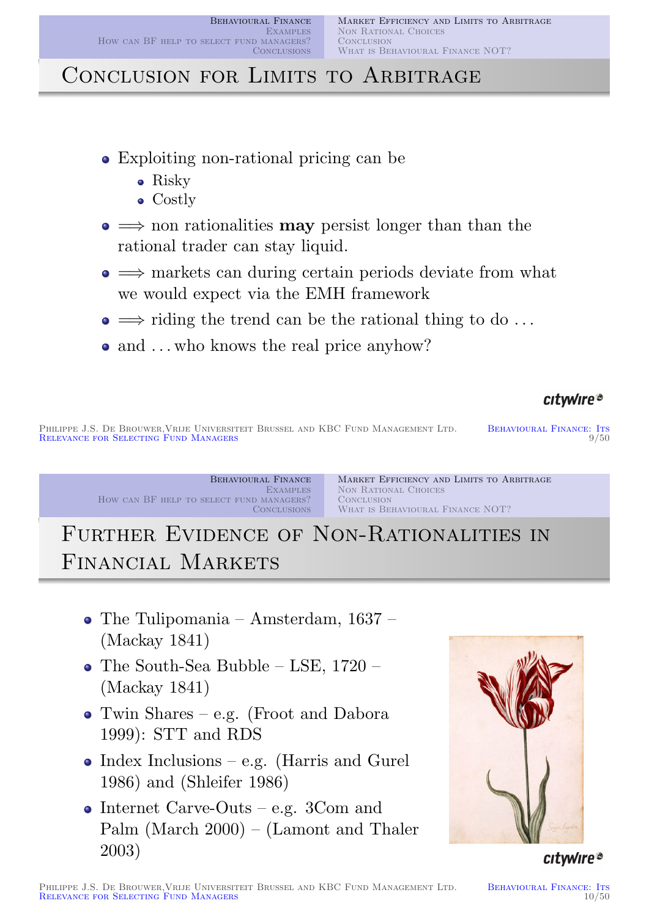# CONCLUSION FOR LIMITS TO ARBITRAGE

- Exploiting non-rational pricing can be
	- Risky
	- Costly
- $\bullet \implies$  non rationalities **may** persist longer than than the rational trader can stay liquid.
- $\bullet \implies$  markets can during certain periods deviate from what we would expect via the EMH framework
- $\bullet \implies$  riding the trend can be the rational thing to do ...
- and ... who knows the real price anyhow?

## citwire®

PHILIPPE J.S. DE BROUWER, VRIJE UNIVERSITEIT BRUSSEL AND KBC FUND MANAGEMENT LTD. BEHAVIOURAL FINANCE: ITS<br>
9/50 PELEVANCE EOP SELECTING FUND MANAGERS RELEVANCE FOR SELECTING FUND MANAGERS

> Behavioural Finance **EXAMPLES** How can BF help to select fund managers? **CONCLUSIONS**

Market Efficiency and Limits to Arbitrage Non Rational Choices **CONCLUSION** WHAT IS BEHAVIOURAL FINANCE NOT?

# FURTHER EVIDENCE OF NON-RATIONALITIES IN Financial Markets

- [The Tulipom](#page-0-0)[ania Amsterdam, 1637 –](#page-1-0) [\(Mackay](#page-18-0)[184](#page-18-0)[1\)](#page-13-0)
- The South-Sea Bubble LSE, 1720 (Mackay 1841)
- Twin Shares e.g. (Froot and Dabora [19](#page-23-5)99): STT and RDS
- $\bullet$  [In](#page-23-5)dex Inclusions e.g. (Harris and Gurel 1986) [and \(Shleifer 198](#page-22-2)6)
- Internet Carve-Outs e.g.  $3$ Com and [Palm \(M](#page-23-6)[arch 2000\) – \(](#page-22-3)Lamont and Thaler 2003)



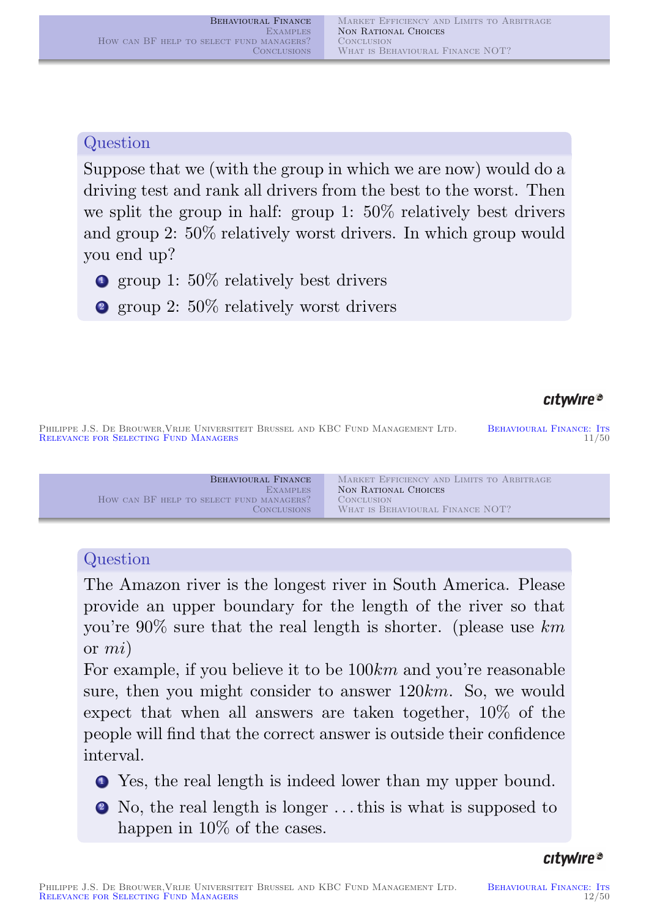#### Question

Suppose that we (with the group in which we are now) would do a driving test and rank all drivers from the best to the worst. Then we split the group in half: group 1: 50% relatively best drivers and group 2: 50% relatively worst drivers. In which group would you end up?

**1** group 1: 50% relatively best drivers

<sup>2</sup> group 2: 50% relatively worst drivers

#### citwire®

PHILIPPE J.S. DE BROUWER, VRIJE UNIVERSITEIT BRUSSEL AND KBC FUND MANAGEMENT LTD. BEHAVIOURAL FINANCE: ITS<br>RELEVANCE FOR SELECTING FUND MANAGERS 11/50 RELEVANCE FOR SELECTING FUND MANAGERS

Behavioural Finance **EXAMPLES** How can BF HELP TO SELECT FUND MANAGERS? **CONCLUSIONS** Market Efficiency and Limits to Arbitrage Non Rational Choices **CONCLUSION** WHAT IS BEHAVIOURAL FINANCE NOT?

### **Question**

The Amazon river is the longest river in South America. Please provide an upper boundary for the length of the river so that [you're](#page-0-0)[90%](#page-0-0)[sur](#page-0-0)[e](#page-1-0)[that](#page-1-0)[the](#page-1-0)[real](#page-1-0)[length](#page-1-0)[is](#page-1-0)[sh](#page-1-0)orter. (please use km or [mi](#page-20-0))

For example, if you believe it to be  $100km$  and you're reasonable sure, then you might consider to answer 120km. So, we would expect that when all answers are taken together, 10% of the people will find that the correct answer is outside their confidence interval.

- <sup>1</sup> Yes, the real length is indeed lower than my upper bound.
- <span id="page-5-0"></span><sup>2</sup> No, the real length is longer . . . this is what is supposed to happen in  $10\%$  of the cases.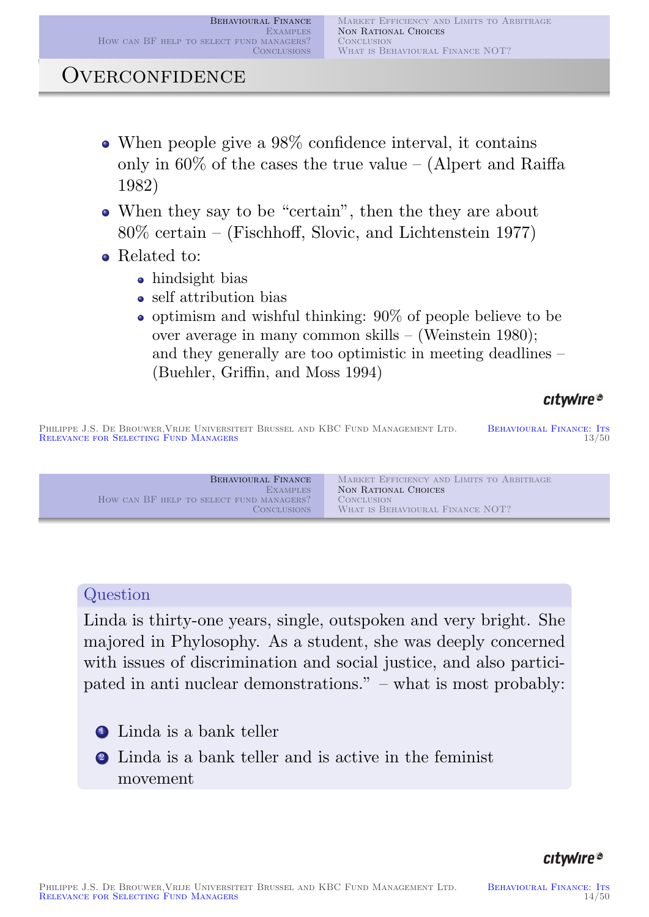## Overconfidence

- When people give a 98% confidence interval, it contains only in 60% of the cases the true value – (Alpert and Raiffa 1982)
- When they say to be "certain", then the they are about 80% certain – (Fischhoff, Slovic, and Lichtenstein 1977)
- Related to:
	- hindsight bias
	- self attribution bias
	- $\bullet$  optimism and wishful thinking: 90% of people believe to be over average in many common skills – (Weinstein 1980); and they generally are too optimistic in meeting deadlines – (Buehler, Griffin, and Moss 1994)

#### citwire®

PHILIPPE J.S. DE BROUWER, VRIJE UNIVERSITEIT BRUSSEL AND KBC FUND MANAGEMENT LTD. BEHAVIOURAL FINANCE: ITS<br>RELEVANCE FOR SELECTING FUND MANAGERS 13/50 RELEVANCE FOR SELECTING FUND MANAGERS

Behavioural Finance **EXAMPLES** How can BF HELP TO SELECT FUND MANAGERS? **CONCLUSIONS** Market Efficiency and Limits to Arbitrage Non Rational Choices **CONCLUSION** WHAT IS BEHAVIOURAL FINANCE NOT?

#### **Question**

[Linda is thirty-](#page-0-0)[one years, single, outspoken](#page-1-0) and very bright. She [majored](#page-18-0)[in](#page-18-0)[Phy](#page-18-0)[losophy.](#page-13-0)[As](#page-13-0)[a](#page-13-0)[student,](#page-13-0)[she](#page-13-0) was deeply concerned with issues of discrimination and social justice, and also participated in anti nuclear demonstrations." – what is most probably:

- **1** Linda is a bank telle[r](#page-22-4)
- <sup>2</sup> Linda is a bank teller and is active in the feminist m[ovement](#page-22-5)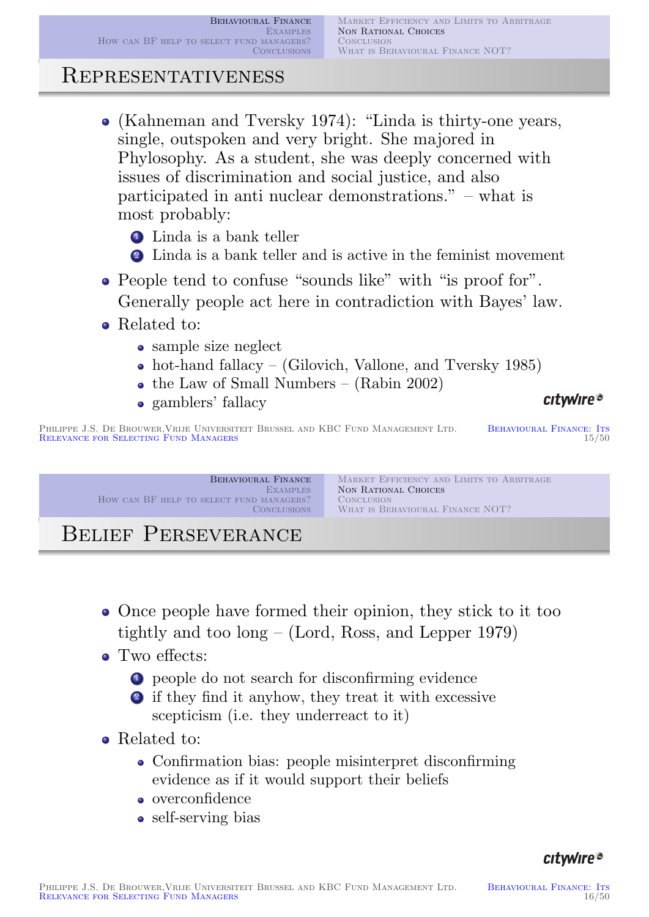## Representativeness

- (Kahneman and Tversky 1974): "Linda is thirty-one years, single, outspoken and very bright. She majored in Phylosophy. As a student, she was deeply concerned with issues of discrimination and social justice, and also participated in anti nuclear demonstrations." – what is most probably:
	- **1** Linda is a bank teller
	- <sup>2</sup> Linda is a bank teller and is active in the feminist movement
- People tend to confuse "sounds like" with "is proof for". Generally people act here in contradiction with Bayes' law.
- Related to:
	- sample size neglect
	- hot-hand fallacy (Gilovich, Vallone, and Tversky 1985)
	- the Law of Small Numbers (Rabin 2002)
	- gamblers' fallacy

#### citwire®

PHILIPPE J.S. DE BROUWER, VRIJE UNIVERSITEIT BRUSSEL AND KBC FUND MANAGEMENT LTD. BEHAVIOURAL FINANCE: ITS<br>BEHAVIOURAL FINANCE: ITS 15/50 RELEVANCE FOR SELECTING FUND MANAGERS

> Behavioural Finance **EXAMPLES** How can BF HELP TO SELECT FUND MANAGERS? **CONCLUSIONS**

Market Efficiency and Limits to Arbitrage Non Rational Choices **CONCLUSION** WHAT IS BEHAVIOURAL FINANCE NOT?

# Belief Perseverance

- Once people have formed their opinion, they stick to it too [tightly and](#page-14-0) [too long – \(Lord, Ross, an](#page-5-0)d Lepper 1979)
- [Two](#page-20-0) [effect](#page-20-0)[s:](#page-14-0)
	- <sup>1</sup> people do not search for disconfirming evidence
	- <sup>2</sup> [if they fin](#page-22-6)d it anyhow, they treat it with excessive scepticism (i.e. they underreact to it)
- Related [to:](#page-23-9)
	- Confirmation bias: people misinterpret disconfirming evidence as if it would support their beliefs
	- overconfidence
	- self-serving bias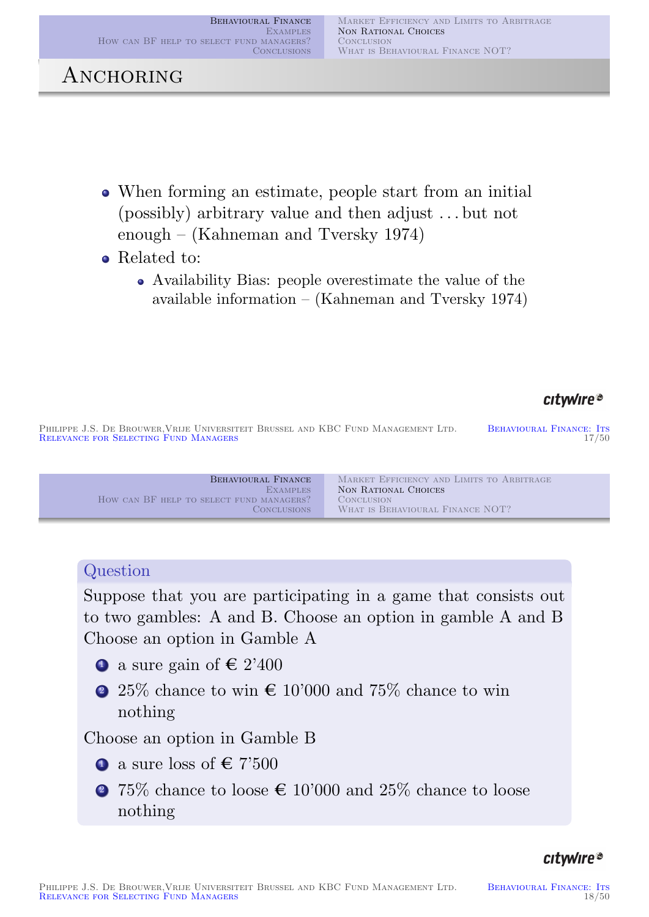## ANCHORING

- When forming an estimate, people start from an initial (possibly) arbitrary value and then adjust . . . but not enough – (Kahneman and Tversky 1974)
- Related to:
	- Availability Bias: people overestimate the value of the available information – (Kahneman and Tversky 1974)

### citwire®

PHILIPPE J.S. DE BROUWER, VRIJE UNIVERSITEIT BRUSSEL AND KBC FUND MANAGEMENT LTD. BEHAVIOURAL FINANCE: ITS<br>RELEVANCE FOR SELECTING FUND MANAGERS 17/50 RELEVANCE FOR SELECTING FUND MANAGERS



#### **Question**

Suppose that you are participating in a game that consists out [to two gambles](#page-0-0)[: A and B. Choose an optio](#page-1-0)n in gamble A and B [Choose an opti](#page-18-0)[on in Gamble A](#page-13-0)

- **1** a sure gain of  $\in$  2'400
- 2 25% chance to win  $\in 10'000$  and 75% chance to win nothing

Choose an option in Gamble B

- **1** [a sure loss of](#page-22-6)  $\epsilon$  7'500
- <span id="page-8-0"></span>2 75% chance to loose  $\in 10'000$  and 25% chance to loose nothing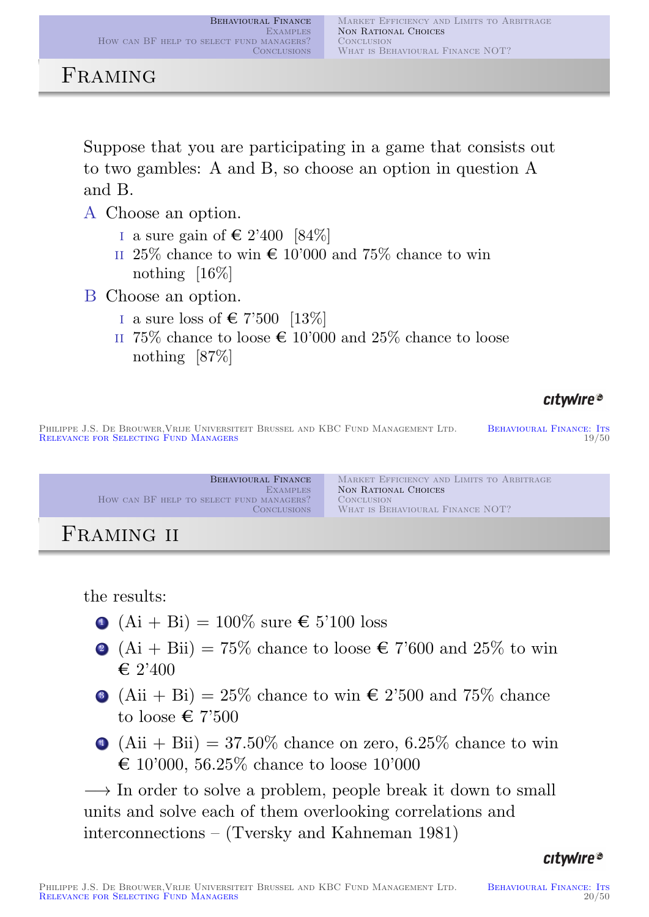## FRAMING

Suppose that you are participating in a game that consists out to two gambles: A and B, so choose an option in question A and B.

- A Choose an option.
	- i a sure gain of  $\in$  2'400 [84\%]
	- II 25% chance to win  $\epsilon$  10'000 and 75% chance to win nothing [16%]
- B Choose an option.
	- i a sure loss of  $\in$  7'500 [13%]
	- II 75% chance to loose  $\epsilon$  10'000 and 25% chance to loose nothing [87%]

## citwire®

PHILIPPE J.S. DE BROUWER, VRIJE UNIVERSITEIT BRUSSEL AND KBC FUND MANAGEMENT LTD. BEHAVIOURAL FINANCE: ITS<br>RELEVANCE FOR SELECTING FUND MANAGERS 19/50 RELEVANCE FOR SELECTING FUND MANAGERS

Behavioural Finance **EXAMPLES** How can BF help to select fund managers? **CONCLUSIONS** Market Efficiency and Limits to Arbitrage Non Rational Choices **CONCLUSION** WHAT IS BEHAVIOURAL FINANCE NOT?

# Framing ii

the results:

- $\bullet$  [\(Ai + Bi\)](#page-0-0) = 100\% sure  $\epsilon$  5'100 loss
- $\bullet$  [\(Ai + Bii\)](#page-20-0) [= 75% chance to loose](#page-14-0)  $\epsilon$  7'600 and 25% to win  $\in$  2'400
- $\bullet$  (Aii + Bi) = 25\% chance to win  $\epsilon$  2'500 and 75\% chance to loose  $\in 7'500$
- 4 (Aii + Bii) =  $37.50\%$  chance on zero,  $6.25\%$  chance to win  $\epsilon$  10'000, 56.25% chance to loose 10'000

 $\rightarrow$  In order to solve a problem, people break it down to small units and solve each of them overlooking correlations and interconnections – (Tversky and Kahneman 1981)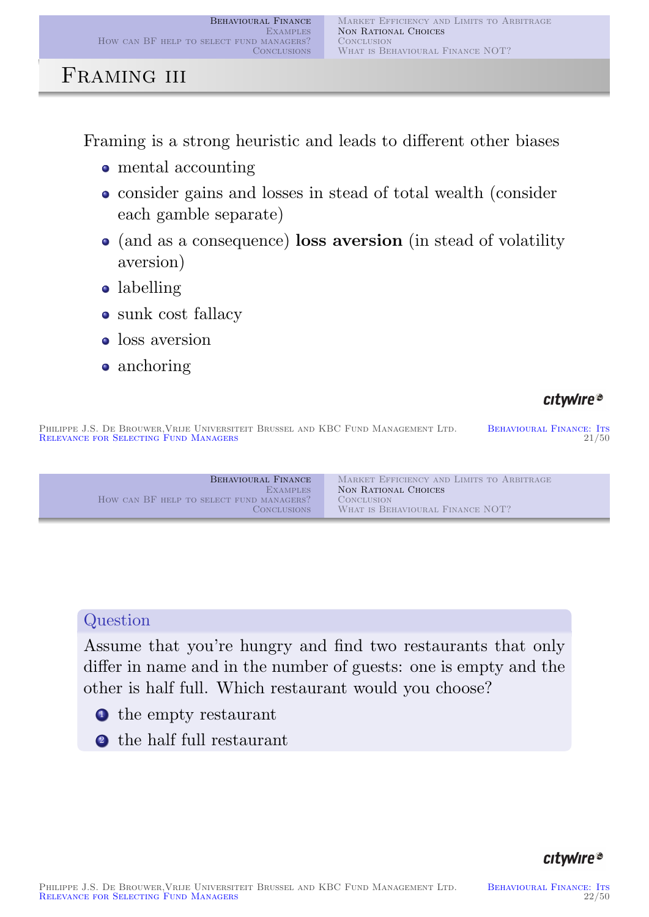## FRAMING III

Framing is a strong heuristic and leads to different other biases

- mental accounting
- consider gains and losses in stead of total wealth (consider each gamble separate)
- (and as a consequence) loss aversion (in stead of volatility aversion)
- labelling
- sunk cost fallacy
- **o** loss aversion
- anchoring

## citwire®

PHILIPPE J.S. DE BROUWER, VRIJE UNIVERSITEIT BRUSSEL AND KBC FUND MANAGEMENT LTD. BEHAVIOURAL FINANCE: ITS<br>BEHAVIOURAL FINANCE: ITS 21/50 RELEVANCE FOR SELECTING FUND MANAGERS

### **[Question](#page-0-0)**

[Assume that y](#page-20-0)[ou're hungry and find two](#page-14-0) restaurants that only differ in name and in the number of guests: one is empty and the other is half full. Which restaurant would you choose?

- **1** the empty restaurant
- <sup>2</sup> the half full restaurant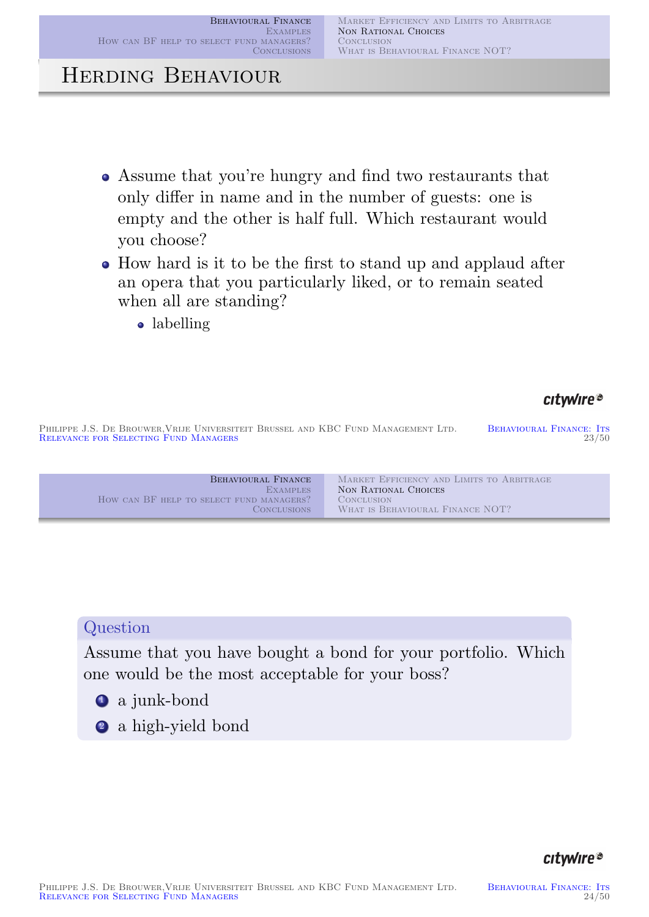## Herding Behaviour

- Assume that you're hungry and find two restaurants that only differ in name and in the number of guests: one is empty and the other is half full. Which restaurant would you choose?
- How hard is it to be the first to stand up and applaud after an opera that you particularly liked, or to remain seated when all are standing?
	- labelling

### citwire®

PHILIPPE J.S. DE BROUWER, VRIJE UNIVERSITEIT BRUSSEL AND KBC FUND MANAGEMENT LTD. BEHAVIOURAL FINANCE: ITS<br>BEHAVIOURAL FINANCE: ITS 23/50 RELEVANCE FOR SELECTING FUND MANAGERS

| BEHAVIOURAL FINANCE                      | MARKET EFFICIENCY AND LIMITS TO ARBITRAGE |
|------------------------------------------|-------------------------------------------|
| <b>EXAMPLES</b>                          | NON RATIONAL CHOICES                      |
| HOW CAN BF HELP TO SELECT FUND MANAGERS? | <b>CONCLUSION</b>                         |
| <b>CONCLUSIONS</b>                       | WHAT IS BEHAVIOURAL FINANCE NOT?          |

### **[Question](#page-0-0)**

[Assume that y](#page-20-0)[ou have bought a bond for](#page-14-0) your portfolio. Which one would be the most acceptable for your boss?

- <sup>1</sup> a junk-bond
- <span id="page-11-0"></span><sup>2</sup> a high-yield bond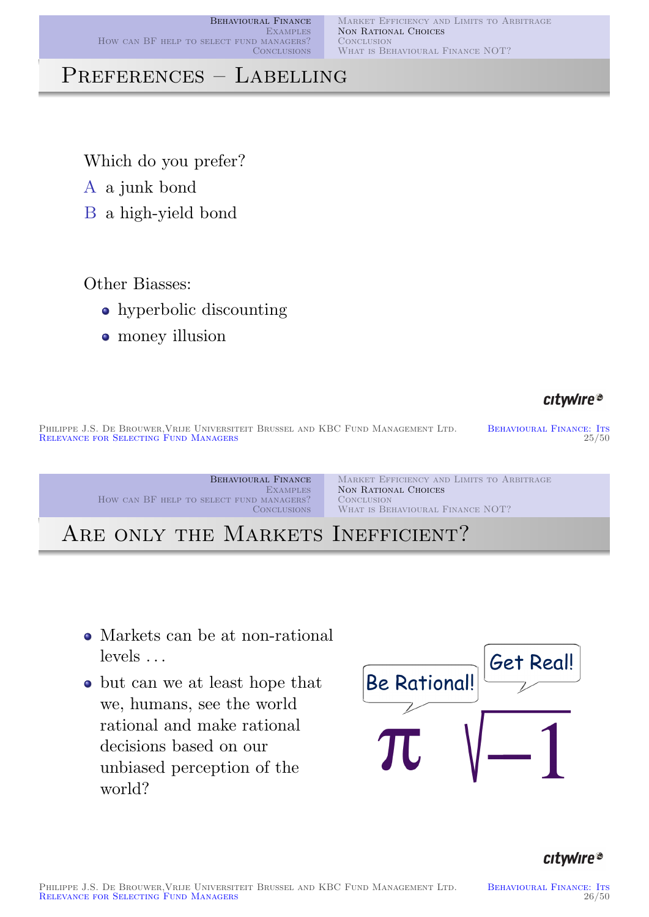Market Efficiency and Limits to Arbitrage NON RATIONAL CHOICES **CONCLUSION** WHAT IS BEHAVIOURAL FINANCE NOT?

## PREFERENCES - LABELLING

Which do you prefer?

A a junk bond

B a high-yield bond

#### Other Biasses:

- hyperbolic discounting
- money illusion

#### citwire®

PHILIPPE J.S. DE BROUWER, VRIJE UNIVERSITEIT BRUSSEL AND KBC FUND MANAGEMENT LTD. BEHAVIOURAL FINANCE: ITS<br>RELEVANCE FOR SELECTING FUND MANAGERS 25/50 RELEVANCE FOR SELECTING FUND MANAGERS

Behavioural Finance **EXAMPLES** How can BF help to select fund managers? **CONCLUSIONS** Market Efficiency and Limits to Arbitrage Non Rational Choices **CONCLUSION** WHAT IS BEHAVIOURAL FINANCE NOT?

ARE ONLY THE MARKETS INEFFICIENT?

- [Markets](#page-14-0)[can](#page-14-0)[be](#page-5-0)[at](#page-5-0)[non-rational](#page-5-0) levels . . .
- but can we at least hope that we, humans, see the world rational and make rational decisions based on our unbiased perception of the world?

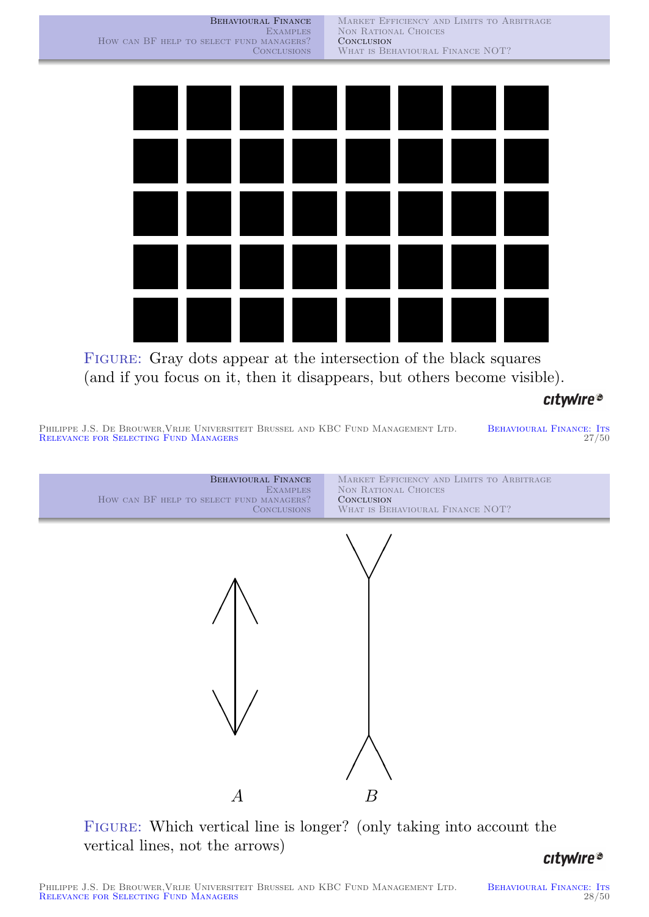Market Efficiency and Limits to Arbitrage NON RATIONAL CHOICES **CONCLUSION** WHAT IS BEHAVIOURAL FINANCE NOT?



FIGURE: Gray dots appear at the intersection of the black squares (and if you focus on it, then it disappears, but others become visible).

citwire®

PHILIPPE J.S. DE BROUWER, VRIJE UNIVERSITEIT BRUSSEL AND KBC FUND MANAGEMENT LTD. BEHAVIOURAL FINANCE: ITS RELEVANCE FOR SELECTING FUND MANAGERS 27/50



<span id="page-13-0"></span>FIGURE: Which vertical line is longer? (only taking into account the vertical lines, not the arrows)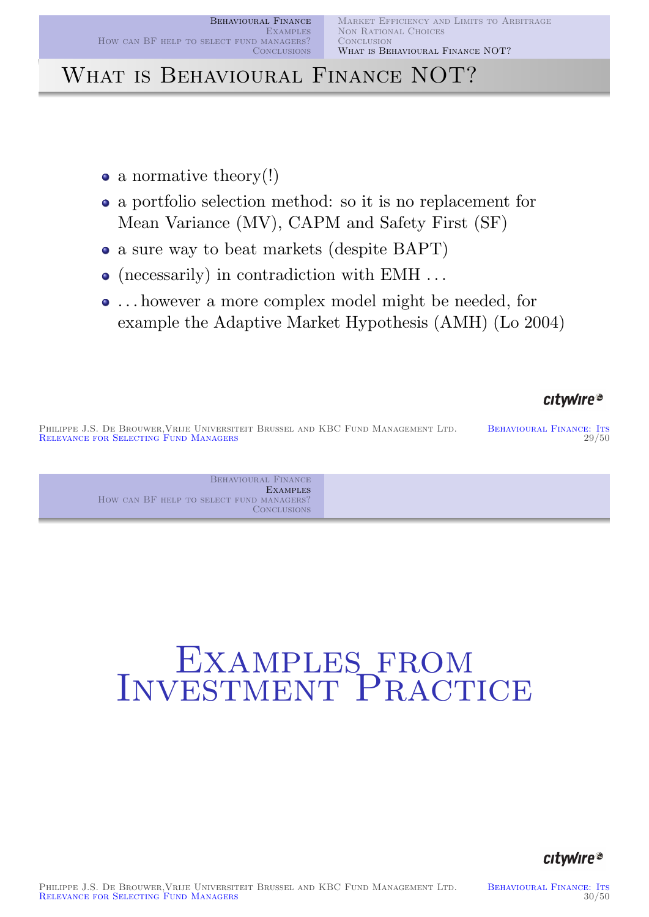# WHAT IS BEHAVIOURAL FINANCE NOT?

- a normative theory!)
- a portfolio selection method: so it is no replacement for Mean Variance (MV), CAPM and Safety First (SF)
- a sure way to beat markets (despite BAPT)
- (necessarily) in contradiction with EMH ...
- . . . however a more complex model might be needed, for example the Adaptive Market Hypothesis (AMH) (Lo 2004)

#### citwire®

PHILIPPE J.S. DE BROUWER, VRIJE UNIVERSITEIT BRUSSEL AND KBC FUND MANAGEMENT LTD. BEHAVIOURAL FINANCE: ITS<br>PELEVANCE EOP SELECTING FUND MANAGERS 29/50 RELEVANCE FOR SELECTING FUND MANAGERS

> Behavioural Finance **EXAMPLES** How can BF help to select fund managers? **CONCLUSIONS**

# <span id="page-14-0"></span>[E](#page-18-0)[xamples](#page-13-0)[f](#page-13-0)rom INVESTMENT PRACTICE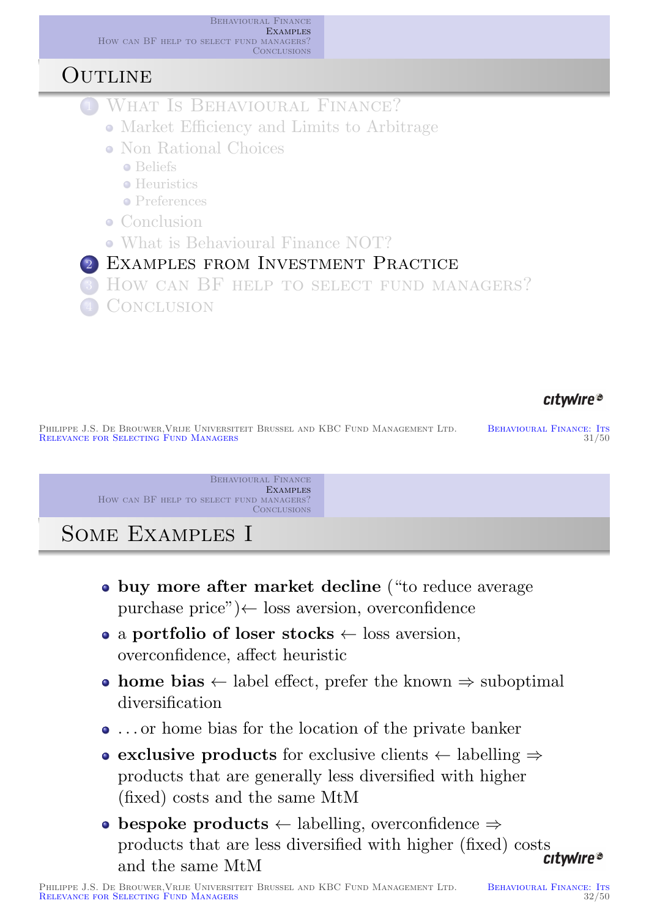

#### citwire®

PHILIPPE J.S. DE BROUWER, VRIJE UNIVERSITEIT BRUSSEL AND KBC FUND MANAGEMENT LTD. BEHAVIOURAL FINANCE: ITS<br>BEHAVIOURAL FINANCE: ITS 31/50 RELEVANCE FOR SELECTING FUND MANAGERS

> BEHAVIOURAL FINANCE **EXAMPLES** How can BF HELP TO SELECT FUND MANAGERS? **CONCLUSIONS**

## Some Examples I

- buy more after market decline ("to reduce average purchase price")← loss aversion, overconfidence
- a [portfolio](#page-14-0) of loser stocks  $\leftarrow$  loss aversion, [overconfide](#page-20-0)nce, affect heuristic
- [home bias](#page-0-0)  $\leftarrow$  label effect, prefer the known  $\Rightarrow$  suboptimal [diversification](#page-1-0)
- . . . or home bias for the location of the private banker
- exclusive products for exclusive clients  $\leftarrow$  labelling  $\Rightarrow$ [products that are](#page-14-0) generally less diversified with higher [\(fixed\)](#page-14-0)[costs](#page-14-0)[and](#page-14-0)[the](#page-14-0)[sa](#page-14-0)[me MtM](#page-18-0)
- [b](#page-20-0)espoke products  $\leftarrow$  labelling, overconfidence  $\Rightarrow$ products that are less diversified with higher (fixed) costs<br>citwire® and the same MtM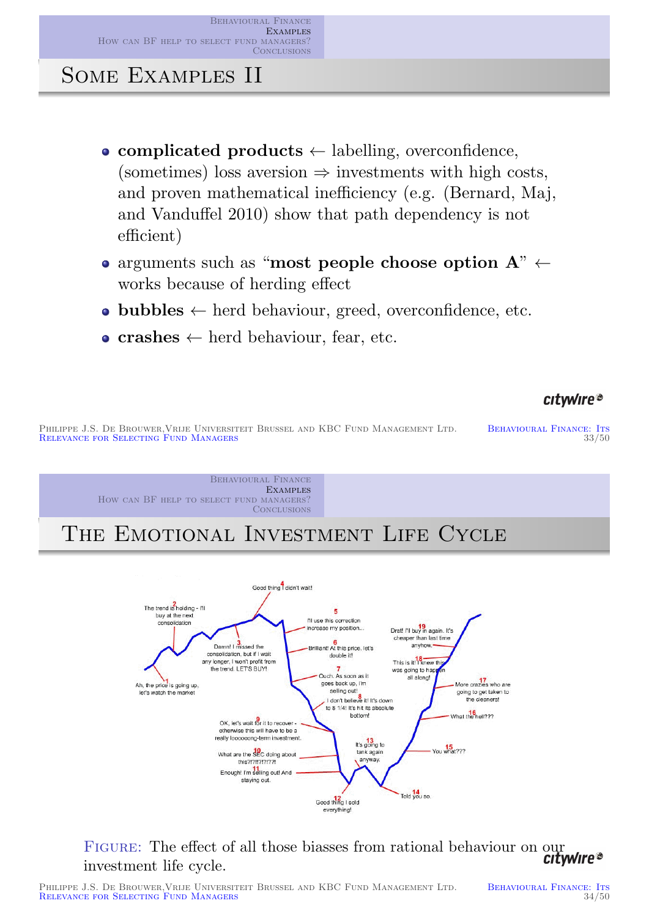Behavioural Finance **EXAMPLES** How can BF help to select fund managers? **CONCLUSIONS** 

Some Examples II

- complicated products  $\leftarrow$  labelling, overconfidence, (sometimes) loss aversion  $\Rightarrow$  investments with high costs, and proven mathematical inefficiency (e.g. (Bernard, Maj, and Vanduffel 2010) show that path dependency is not efficient)
- arguments such as "most people choose option  $A$ "  $\leftarrow$ works because of herding effect
- $\bullet$  bubbles  $\leftarrow$  herd behaviour, greed, overconfidence, etc.
- crashes  $\leftarrow$  herd behaviour, fear, etc.

citwire®

PHILIPPE J.S. DE BROUWER, VRIJE UNIVERSITEIT BRUSSEL AND KBC FUND MANAGEMENT LTD. BEHAVIOURAL FINANCE: ITS<br>RELEVANCE FOR SELECTING FUND MANAGERS 33/50 RELEVANCE FOR SELECTING FUND MANAGERS

> Behavioural Finance **EXAMPLES** How can BF help to select fund managers? **CONCLUSIONS**

THE EMOTIONAL INVESTMENT LIFE CYCLE



FIGURE: The effect of all those biasses from rational behaviour on our citywire<sup>®</sup> investment life cycle.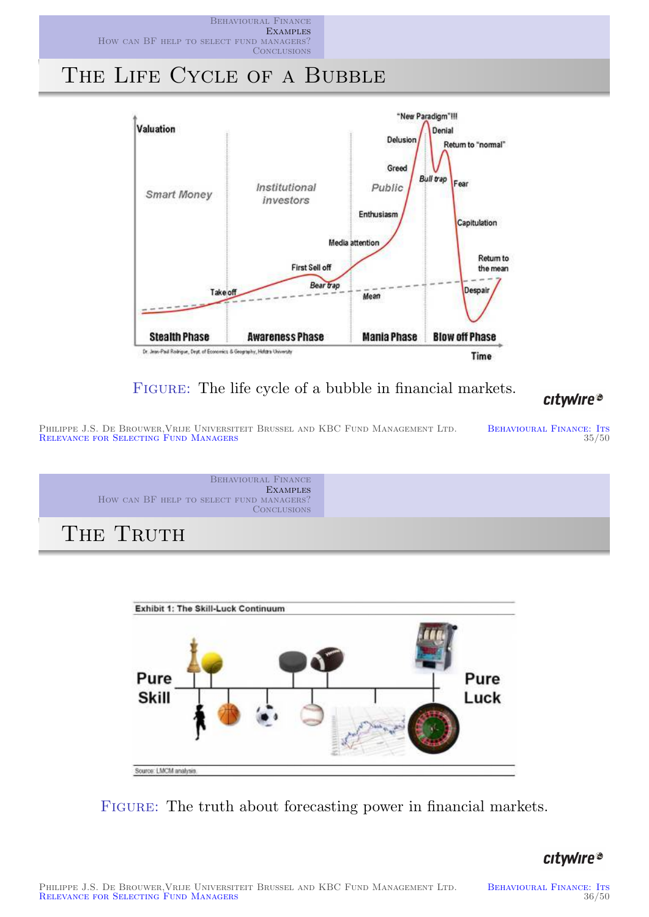



FIGURE: The life cycle of a bubble in financial markets.

#### citwire®

PHILIPPE J.S. DE BROUWER, VRIJE UNIVERSITEIT BRUSSEL AND KBC FUND MANAGEMENT LTD. BEHAVIOURAL FINANCE: ITS RELECTING FUND MANAGERS 35/50 RELEVANCE FOR SELECTING FUND MANAGERS

Behavioural Finance **EXAMPLES** How can BF help to select fund managers? **CONCLUSIONS** 

THE TRUTH



FIGURE: The truth about forecasting power in financial markets.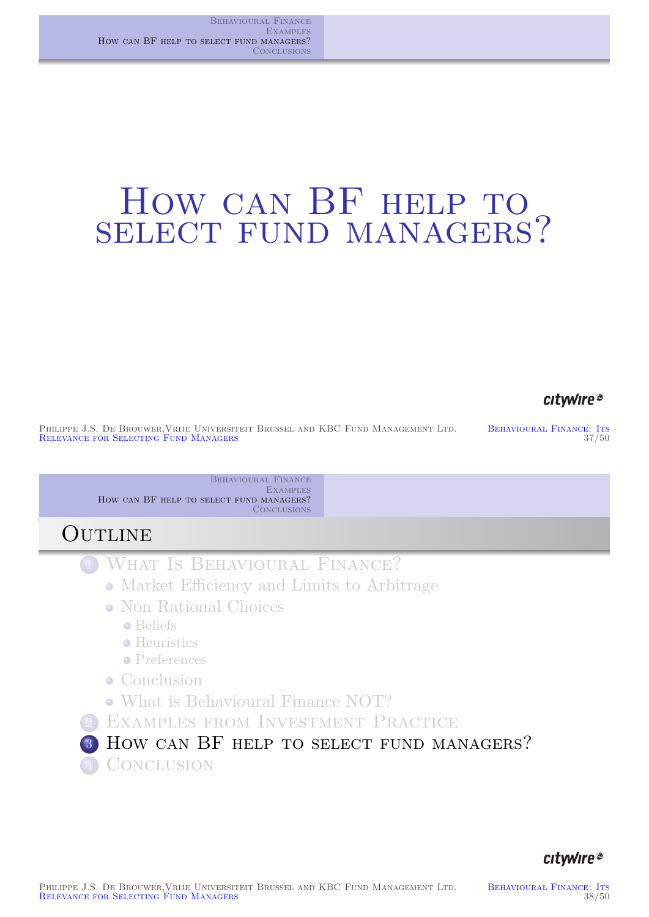# HOW CAN BF HELP TO SELECT FUND MANAGERS?

#### citwire®

PHILIPPE J.S. DE BROUWER, VRIJE UNIVERSITEIT BRUSSEL AND KBC FUND MANAGEMENT LTD. BEHAVIOURAL FINANCE: ITS<br>BEHAVIOURAL FINANCE: ITS 37/50 RELEVANCE FOR SELECTING FUND MANAGERS

> BEHAVIOURAL FINANCE **EXAMPLES** How can BF help to select fund managers? **CONCLUSIONS**

## **OUTLINE**

- <sup>1</sup> What Is Behavioural Finance?
	- Market Efficiency and Limits to Arbitrage
	- Non Rational Choices
		- **•** [Beliefs](#page-0-0)
		- **•** [Heuristics](#page-20-0)
		- **•** Preferences
	- [Conclusion](#page-0-0)
	- [What is Behavioural](#page-1-0) Finance NOT?
- [2](#page-5-0) [Exampl](#page-5-0)es from Investment Practice
- <span id="page-18-0"></span>3 How can BF HELP TO SELECT FUND MANAGERS? 4 CONCLUSION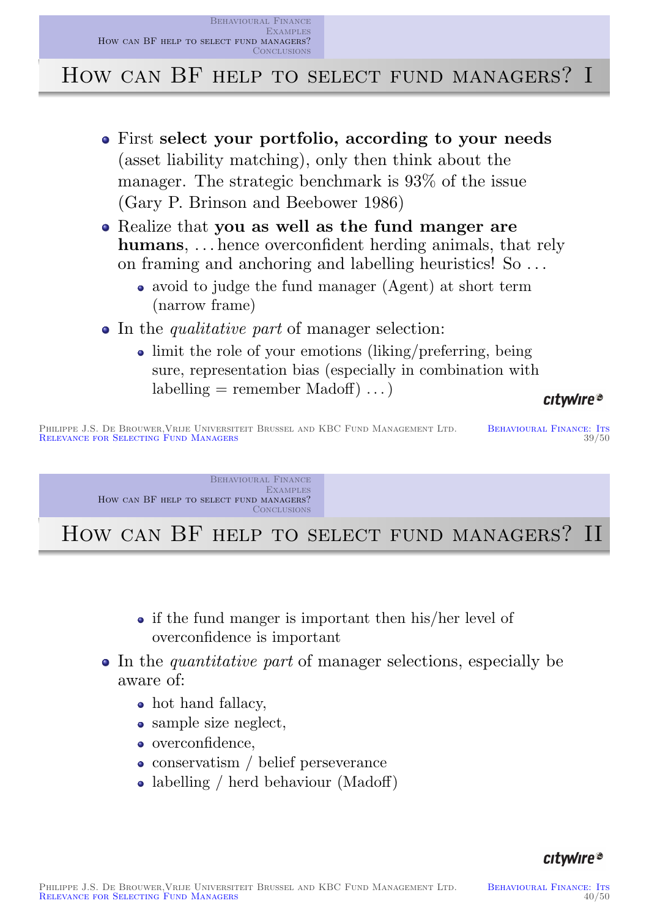Behavioural Finance **EXAMPLES** How can BF help to select fund managers? **CONCLUSIONS** 

## HOW CAN BF HELP TO SELECT FUND MANAGERS? I

- First select your portfolio, according to your needs (asset liability matching), only then think about the manager. The strategic benchmark is 93% of the issue (Gary P. Brinson and Beebower 1986)
- Realize that you as well as the fund manger are humans, ... hence overconfident herding animals, that rely on framing and anchoring and labelling heuristics! So . . .
	- avoid to judge the fund manager (Agent) at short term (narrow frame)
- In the *qualitative part* of manager selection:
	- limit the role of your emotions (liking/preferring, being sure, representation bias (especially in combination with  $labelling = remember Madoff) \dots$

#### citwire®

PHILIPPE J.S. DE BROUWER, VRIJE UNIVERSITEIT BRUSSEL AND KBC FUND MANAGEMENT LTD. BEHAVIOURAL FINANCE: ITS<br>RELEVANCE FOR SELECTING FUND MANAGERS 39/50 RELEVANCE FOR SELECTING FUND MANAGERS

> Behavioural Finance **EXAMPLES** How can BF help to select fund managers? **CONCLUSIONS**

HOW CAN BF HELP TO SELECT FUND MANAGERS? II

- [if the fu](#page-0-0)nd manger is important then his/her level of [overcon](#page-18-0)fidence is important
- In the *quantitative part* of manager selections, especially be aware of:
	- hot hand fallacy,
	- sample size neglect,
	- [overconfidence](#page-22-7),
	- conservatism / belief perseverance
	- labelling / herd behaviour (Madoff)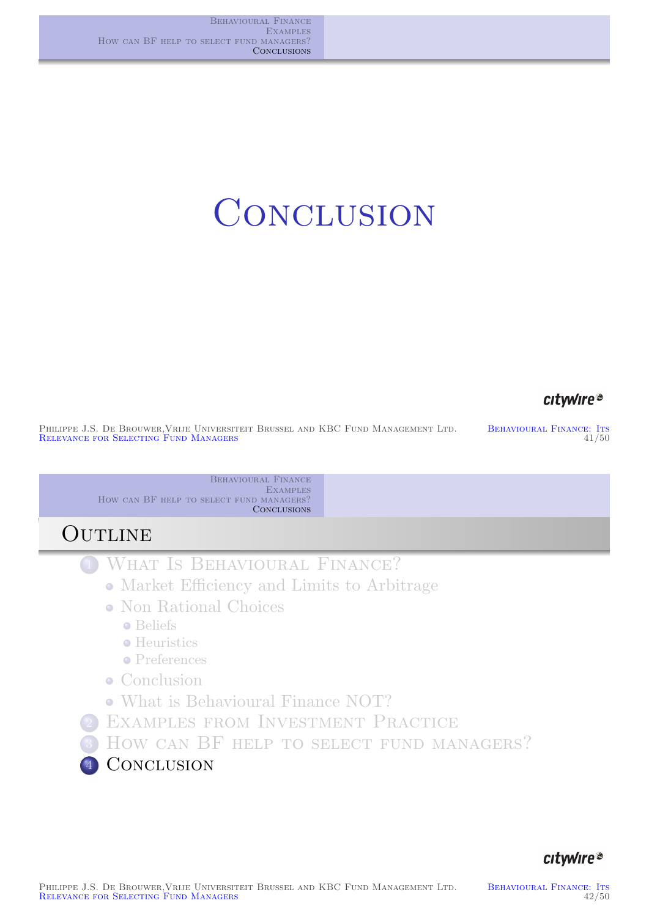# **CONCLUSION**

#### citwire®

PHILIPPE J.S. DE BROUWER, VRIJE UNIVERSITEIT BRUSSEL AND KBC FUND MANAGEMENT LTD. BEHAVIOURAL FINANCE: ITS<br>RELEVANCE FOR SELECTING FUND MANAGERS (41/50) RELEVANCE FOR SELECTING FUND MANAGERS

Behavioural Finance **EXAMPLES** How can BF help to select fund managers? **CONCLUSIONS** 

## **OUTLINE**

- <sup>1</sup> What Is Behavioural Finance?
	- Market Efficiency and Limits to Arbitrage
	- Non Rational Choices
		- **•** [Beliefs](#page-0-0)
		- **•** [Heuristics](#page-20-0)
		- **•** Preferences
	- [Conclusion](#page-0-0)
	- [What is Behavioural](#page-1-0) Finance NOT?
- [2](#page-5-0) [Exampl](#page-5-0)es from Investment Practice
- <sup>3</sup> [H](#page-11-0)ow can BF help to select fund managers?

<span id="page-20-0"></span>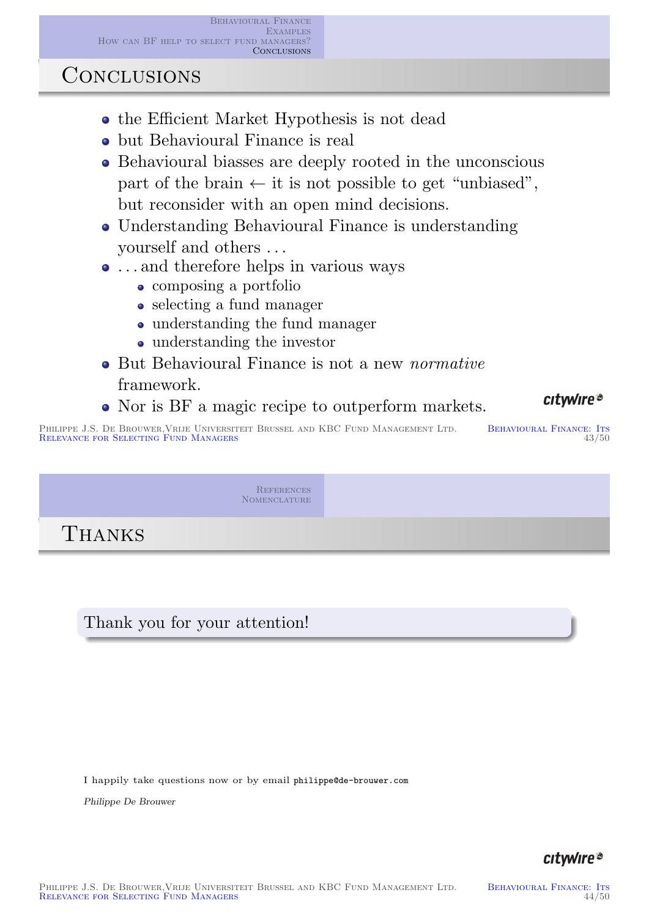## **CONCLUSIONS**

- the Efficient Market Hypothesis is not dead
- but Behavioural Finance is real
- Behavioural biasses are deeply rooted in the unconscious part of the brain  $\leftarrow$  it is not possible to get "unbiased", but reconsider with an open mind decisions.
- Understanding Behavioural Finance is understanding yourself and others . . .
- . . . and therefore helps in various ways
	- composing a portfolio
	- selecting a fund manager
	- understanding the fund manager
	- understanding the investor
- But Behavioural Finance is not a new *normative* framework.
- Nor is BF a magic recipe to outperform markets.

PHILIPPE J.S. DE BROUWER, VRIJE UNIVERSITEIT BRUSSEL AND KBC FUND MANAGEMENT LTD. BEHAVIOURAL FINANCE: ITS<br>RELEVANCE FOR SELECTING FUND MANAGERS 43/50 RELEVANCE FOR SELECTING FUND MANAGERS

> **REFERENCES** NOMENCLATURE

THANKS

## [Thank you for y](#page-0-0)our attention!

I happily take questions now or by email philippe@de-brouwer.com

Philippe De Brouwer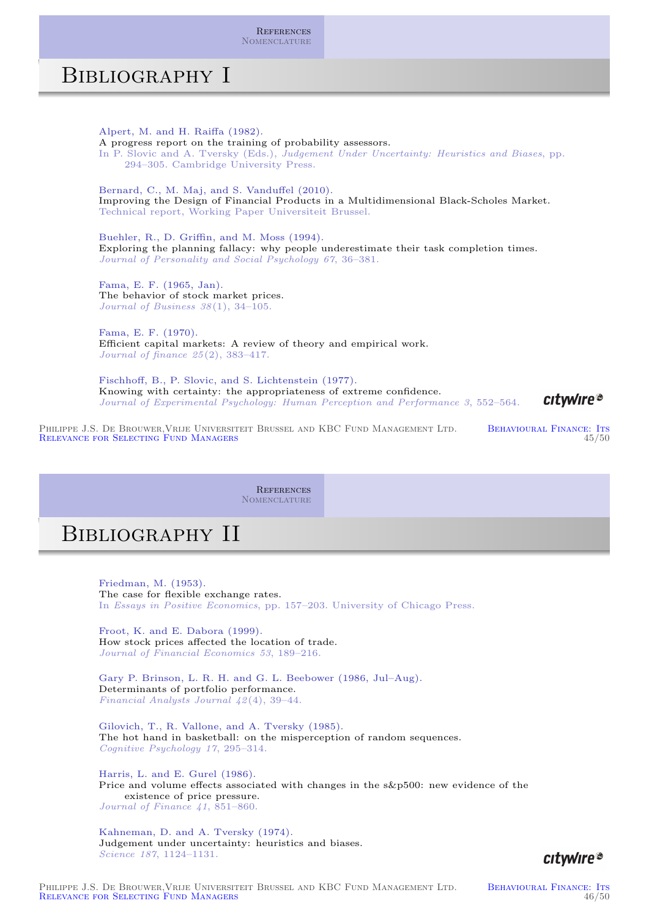**REFERENCES** NOMENCLATURE

## Bibliography I

Alpert, M. and H. Raiffa (1982). A progress report on the training of probability assessors. In P. Slovic and A. Tversky (Eds.), Judgement Under Uncertainty: Heuristics and Biases, pp. 294–305. Cambridge University Press. Bernard, C., M. Maj, and S. Vanduffel (2010). Improving the Design of Financial Products in a Multidimensional Black-Scholes Market. Technical report, Working Paper Universiteit Brussel. Buehler, R., D. Griffin, and M. Moss (1994). Exploring the planning fallacy: why people underestimate their task completion times. Journal of Personality and Social Psychology 67, 36–381. Fama, E. F. (1965, Jan). The behavior of stock market prices. Journal of Business 38(1), 34–105. Fama, E. F. (1970). Efficient capital markets: A review of theory and empirical work. Journal of finance 25(2), 383–417. Fischhoff, B., P. Slovic, and S. Lichtenstein (1977). Knowing with certainty: the appropriateness of extreme confidence. citwire® Journal of Experimental Psychology: Human Perception and Performance 3, 552–564.

PHILIPPE J.S. DE BROUWER, VRIJE UNIVERSITEIT BRUSSEL AND KBC FUND MANAGEMENT LTD. BEHAVIOURAL FINANCE: ITS<br>RELEVANCE FOR SELECTING FUND MANAGERS 45/50 RELEVANCE FOR SELECTING FUND MANAGERS

> **REFERENCES** Nomenclature

## Bibliography II

Friedman, M. (1953). The case for flexible exchange rates. In Essays in Positive Economics, pp. 157–203. University of Chicago Press.

[Froot, K. and E. Da](#page-22-8)bora (1999). [How stock prices aff](#page-24-0)ected the location of trade. Journal of Financial Economics 53, 189–216.

<span id="page-22-4"></span><span id="page-22-1"></span>Gary P. Brinson, L. R. H. and G. L. Beebower (1986, Jul–Aug). Determinants of portfolio performance. Financial Analysts Journal 42(4), 39–44.

<span id="page-22-2"></span>Gilovich, T., R. Vallone, and A. Tversky (1985). The hot hand in basketball: on the misperception of random sequences. Cognitive Psychology 17, 295–314.

<span id="page-22-7"></span><span id="page-22-0"></span>Harris, L. and E. Gurel (1986). Price and volume effects associated with changes in the s&p500: new evidence of the existence of price pressure. Journal of Finance 41, 851–860.

<span id="page-22-6"></span><span id="page-22-5"></span><span id="page-22-3"></span>Kahneman, D. and A. Tversky (1974). Judgement under uncertainty: heuristics and biases. Science 187, 1124–1131.



<span id="page-22-8"></span>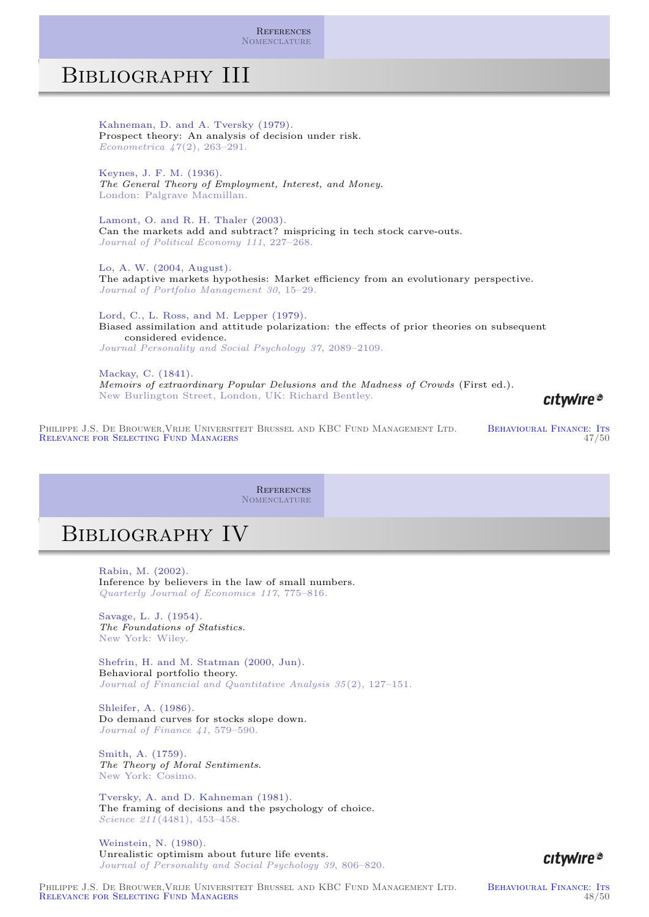**REFERENCES** NOMENCLATURE

## Bibliography III

Kahneman, D. and A. Tversky (1979). Prospect theory: An analysis of decision under risk. Econometrica 47(2), 263–291.

Keynes, J. F. M. (1936). The General Theory of Employment, Interest, and Money. London: Palgrave Macmillan.

Lamont, O. and R. H. Thaler (2003). Can the markets add and subtract? mispricing in tech stock carve-outs. Journal of Political Economy 111, 227–268.

Lo, A. W. (2004, August). The adaptive markets hypothesis: Market efficiency from an evolutionary perspective. Journal of Portfolio Management 30, 15–29.

Lord, C., L. Ross, and M. Lepper (1979). Biased assimilation and attitude polarization: the effects of prior theories on subsequent considered evidence. Journal Personality and Social Psychology 37, 2089–2109.

Mackay, C. (1841). Memoirs of extraordinary Popular Delusions and the Madness of Crowds (First ed.). New Burlington Street, London, UK: Richard Bentley.

PHILIPPE J.S. DE BROUWER, VRIJE UNIVERSITEIT BRUSSEL AND KBC FUND MANAGEMENT LTD. BEHAVIOURAL FINANCE: ITS<br>RELEVANCE FOR SELECTING FUND MANAGERS 47/50 RELEVANCE FOR SELECTING FUND MANAGERS

> **REFERENCES** Nomenclature

## Bibliography IV

Rabin, M. (2002). Inference by believers in the law of small numbers. Quarterly Journal of Economics 117, 775–816.

Savage, L. J. (1954). [The Foundations of S](#page-22-8)tatistics. [New York: Wiley.](#page-24-0)

<span id="page-23-8"></span>Shefrin, H. and M. Statman (2000, Jun). Behavioral portfolio theory. Journal of Financial and Quantitative Analysis 35 (2), 127–151.

<span id="page-23-3"></span><span id="page-23-2"></span><span id="page-23-0"></span>Shleifer, A. (1986). Do demand curves for stocks slope down. Journal of Finance 41, 579–590.

<span id="page-23-7"></span><span id="page-23-4"></span>Smith, A. (1759). The Theory of Moral Sentiments. New York: Cosimo.

<span id="page-23-10"></span><span id="page-23-6"></span><span id="page-23-1"></span>Tversky, A. and D. Kahneman (1981). The framing of decisions and the psychology of choice. Science 211(4481), 453–458.

Weinstein, N. (1980). Unrealistic optimism about future life events. Journal of Personality and Social Psychology 39, 806–820.



citwire®

<span id="page-23-9"></span><span id="page-23-5"></span>PHILIPPE J.S. DE BROUWER, VRIJE UNIVERSITEIT BRUSSEL AND KBC FUND MANAGEMENT LTD. BEHAVIOURAL FINANCE: ITS<br>RELEVANCE FOR SELECTING FUND MANAGERS 48/50 RELEVANCE FOR SELECTING FUND MANAGERS